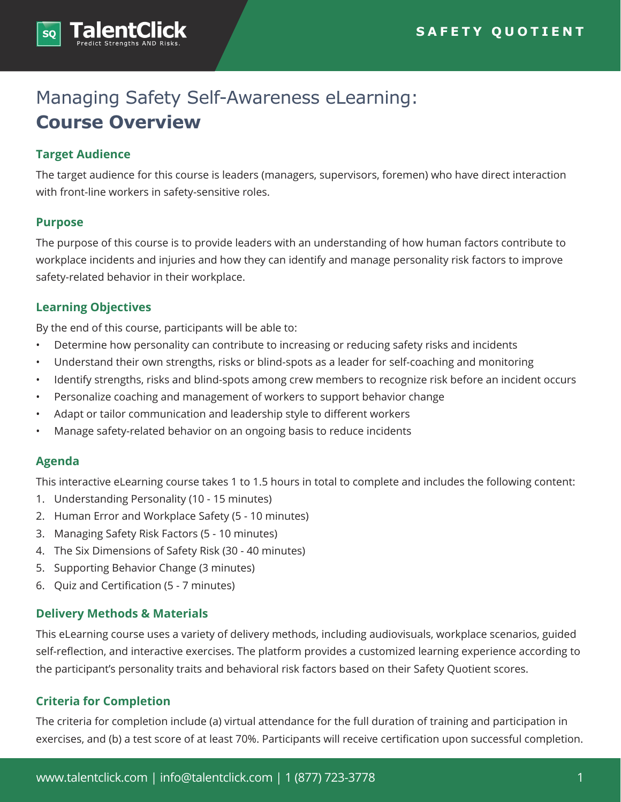

# Managing Safety Self-Awareness eLearning: **Course Overview**

#### **Target Audience**

The target audience for this course is leaders (managers, supervisors, foremen) who have direct interaction with front-line workers in safety-sensitive roles.

#### **Purpose**

The purpose of this course is to provide leaders with an understanding of how human factors contribute to workplace incidents and injuries and how they can identify and manage personality risk factors to improve safety-related behavior in their workplace.

#### **Learning Objectives**

By the end of this course, participants will be able to:

- Determine how personality can contribute to increasing or reducing safety risks and incidents
- Understand their own strengths, risks or blind-spots as a leader for self-coaching and monitoring
- Identify strengths, risks and blind-spots among crew members to recognize risk before an incident occurs
- Personalize coaching and management of workers to support behavior change
- Adapt or tailor communication and leadership style to different workers
- Manage safety-related behavior on an ongoing basis to reduce incidents

## **Agenda**

This interactive eLearning course takes 1 to 1.5 hours in total to complete and includes the following content:

- 1. Understanding Personality (10 15 minutes)
- 2. Human Error and Workplace Safety (5 10 minutes)
- 3. Managing Safety Risk Factors (5 10 minutes)
- 4. The Six Dimensions of Safety Risk (30 40 minutes)
- 5. Supporting Behavior Change (3 minutes)
- 6. Quiz and Certification (5 7 minutes)

## **Delivery Methods & Materials**

This eLearning course uses a variety of delivery methods, including audiovisuals, workplace scenarios, guided self-reflection, and interactive exercises. The platform provides a customized learning experience according to the participant's personality traits and behavioral risk factors based on their Safety Quotient scores.

## **Criteria for Completion**

The criteria for completion include (a) virtual attendance for the full duration of training and participation in exercises, and (b) a test score of at least 70%. Participants will receive certification upon successful completion.